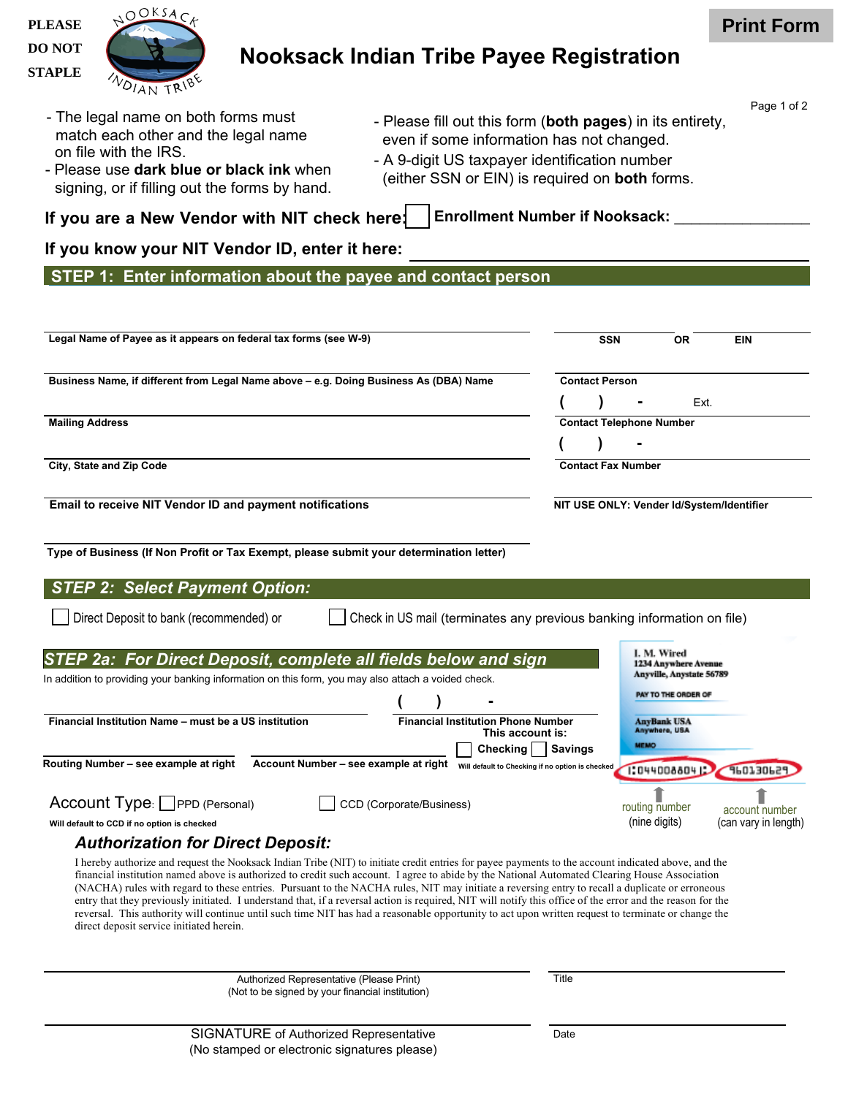**PLEASE DO NOT STAPLE**



## **Nooksack Indian Tribe Payee Registration**

- The legal name on both forms must match each other and the legal name on file with the IRS.
- Please use **dark blue or black ink** when signing, or if filling out the forms by hand.
- Please fill out this form (**both pages**) in its entirety, even if some information has not changed. - A 9-digit US taxpayer identification number (either SSN or EIN) is required on **both** forms.

**If you are a New Vendor with NIT check here: Enrollment Number if Nooksack:** \_\_\_\_\_\_\_\_\_\_\_\_\_\_\_\_

## **If you know your NIT Vendor ID, enter it here:**

**STEP 1: Enter information about the payee and contact person**

| Legal Name of Payee as it appears on federal tax forms (see W-9)                                                                                                                                                                                                                                                                                                                                                                                                                                                                                                                                                                                                                                                                                                                                                        |                                     | <b>SSN</b><br><b>OR</b>                                         | <b>EIN</b>                             |  |
|-------------------------------------------------------------------------------------------------------------------------------------------------------------------------------------------------------------------------------------------------------------------------------------------------------------------------------------------------------------------------------------------------------------------------------------------------------------------------------------------------------------------------------------------------------------------------------------------------------------------------------------------------------------------------------------------------------------------------------------------------------------------------------------------------------------------------|-------------------------------------|-----------------------------------------------------------------|----------------------------------------|--|
| Business Name, if different from Legal Name above - e.g. Doing Business As (DBA) Name                                                                                                                                                                                                                                                                                                                                                                                                                                                                                                                                                                                                                                                                                                                                   | <b>Contact Person</b>               |                                                                 |                                        |  |
|                                                                                                                                                                                                                                                                                                                                                                                                                                                                                                                                                                                                                                                                                                                                                                                                                         |                                     |                                                                 | Ext.                                   |  |
| <b>Mailing Address</b>                                                                                                                                                                                                                                                                                                                                                                                                                                                                                                                                                                                                                                                                                                                                                                                                  |                                     | <b>Contact Telephone Number</b>                                 |                                        |  |
|                                                                                                                                                                                                                                                                                                                                                                                                                                                                                                                                                                                                                                                                                                                                                                                                                         |                                     |                                                                 |                                        |  |
| City, State and Zip Code                                                                                                                                                                                                                                                                                                                                                                                                                                                                                                                                                                                                                                                                                                                                                                                                | <b>Contact Fax Number</b>           |                                                                 |                                        |  |
| Email to receive NIT Vendor ID and payment notifications                                                                                                                                                                                                                                                                                                                                                                                                                                                                                                                                                                                                                                                                                                                                                                |                                     | NIT USE ONLY: Vender Id/System/Identifier                       |                                        |  |
| Type of Business (If Non Profit or Tax Exempt, please submit your determination letter)                                                                                                                                                                                                                                                                                                                                                                                                                                                                                                                                                                                                                                                                                                                                 |                                     |                                                                 |                                        |  |
| <b>STEP 2: Select Payment Option:</b>                                                                                                                                                                                                                                                                                                                                                                                                                                                                                                                                                                                                                                                                                                                                                                                   |                                     |                                                                 |                                        |  |
| Check in US mail (terminates any previous banking information on file)<br>Direct Deposit to bank (recommended) or                                                                                                                                                                                                                                                                                                                                                                                                                                                                                                                                                                                                                                                                                                       |                                     |                                                                 |                                        |  |
|                                                                                                                                                                                                                                                                                                                                                                                                                                                                                                                                                                                                                                                                                                                                                                                                                         |                                     |                                                                 |                                        |  |
| STEP 2a: For Direct Deposit, complete all fields below and sign                                                                                                                                                                                                                                                                                                                                                                                                                                                                                                                                                                                                                                                                                                                                                         |                                     | I. M. Wired<br>1234 Anywhere Avenue<br>Anyville, Anystate 56789 |                                        |  |
| In addition to providing your banking information on this form, you may also attach a voided check.                                                                                                                                                                                                                                                                                                                                                                                                                                                                                                                                                                                                                                                                                                                     |                                     | <b>PAY TO THE ORDER OF</b>                                      |                                        |  |
|                                                                                                                                                                                                                                                                                                                                                                                                                                                                                                                                                                                                                                                                                                                                                                                                                         |                                     |                                                                 |                                        |  |
| <b>Financial Institution Phone Number</b><br>Financial Institution Name - must be a US institution<br>This account is:                                                                                                                                                                                                                                                                                                                                                                                                                                                                                                                                                                                                                                                                                                  | <b>AnyBank USA</b><br>Anywhere, USA |                                                                 |                                        |  |
| Checking                                                                                                                                                                                                                                                                                                                                                                                                                                                                                                                                                                                                                                                                                                                                                                                                                | <b>Savings</b>                      | <b>MEMO</b>                                                     |                                        |  |
| Routing Number - see example at right<br>Account Number - see example at right will default to Checking if no option is checked                                                                                                                                                                                                                                                                                                                                                                                                                                                                                                                                                                                                                                                                                         |                                     | 1:0440088041                                                    | 9601306                                |  |
|                                                                                                                                                                                                                                                                                                                                                                                                                                                                                                                                                                                                                                                                                                                                                                                                                         |                                     |                                                                 |                                        |  |
| Account Type: PPD (Personal)<br>CCD (Corporate/Business)<br>Will default to CCD if no option is checked                                                                                                                                                                                                                                                                                                                                                                                                                                                                                                                                                                                                                                                                                                                 |                                     | routing number<br>(nine digits)                                 | account number<br>(can vary in length) |  |
| <b>Authorization for Direct Deposit:</b>                                                                                                                                                                                                                                                                                                                                                                                                                                                                                                                                                                                                                                                                                                                                                                                |                                     |                                                                 |                                        |  |
|                                                                                                                                                                                                                                                                                                                                                                                                                                                                                                                                                                                                                                                                                                                                                                                                                         |                                     |                                                                 |                                        |  |
| I hereby authorize and request the Nooksack Indian Tribe (NIT) to initiate credit entries for payee payments to the account indicated above, and the<br>financial institution named above is authorized to credit such account. I agree to abide by the National Automated Clearing House Association<br>(NACHA) rules with regard to these entries. Pursuant to the NACHA rules, NIT may initiate a reversing entry to recall a duplicate or erroneous<br>entry that they previously initiated. I understand that, if a reversal action is required, NIT will notify this office of the error and the reason for the<br>reversal. This authority will continue until such time NIT has had a reasonable opportunity to act upon written request to terminate or change the<br>direct deposit service initiated herein. |                                     |                                                                 |                                        |  |

Page 1 of 2